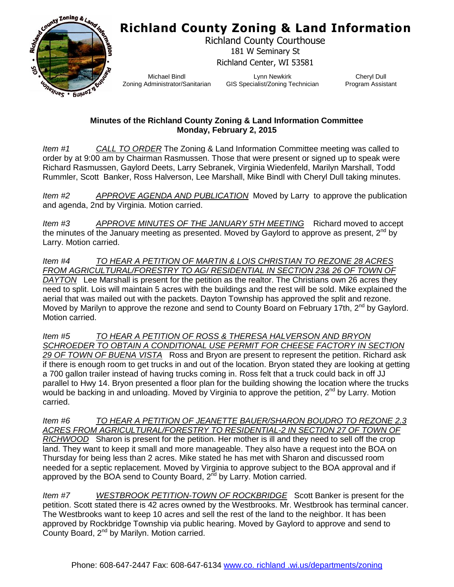### **Richland County Zoning & Land Information**



Richland County Courthouse 181 W Seminary St Richland Center, WI 53581

Michael Bindl Zoning Administrator/Sanitarian

Lynn Newkirk GIS Specialist/Zoning Technician

Cheryl Dull Program Assistant

#### **Minutes of the Richland County Zoning & Land Information Committee Monday, February 2, 2015**

*Item #1 CALL TO ORDER* The Zoning & Land Information Committee meeting was called to order by at 9:00 am by Chairman Rasmussen. Those that were present or signed up to speak were Richard Rasmussen, Gaylord Deets, Larry Sebranek, Virginia Wiedenfeld, Marilyn Marshall, Todd Rummler, Scott Banker, Ross Halverson, Lee Marshall, Mike Bindl with Cheryl Dull taking minutes.

*Item #2 APPROVE AGENDA AND PUBLICATION* Moved by Larry to approve the publication and agenda, 2nd by Virginia. Motion carried.

*Item #3 APPROVE MINUTES OF THE JANUARY 5TH MEETING* Richard moved to accept the minutes of the January meeting as presented. Moved by Gaylord to approve as present,  $2^{nd}$  by Larry. Motion carried.

*Item #4 TO HEAR A PETITION OF MARTIN & LOIS CHRISTIAN TO REZONE 28 ACRES FROM AGRICULTURAL/FORESTRY TO AG/ RESIDENTIAL IN SECTION 23& 26 OF TOWN OF DAYTON* Lee Marshall is present for the petition as the realtor. The Christians own 26 acres they need to split. Lois will maintain 5 acres with the buildings and the rest will be sold. Mike explained the aerial that was mailed out with the packets. Dayton Township has approved the split and rezone. Moved by Marilyn to approve the rezone and send to County Board on February 17th,  $2^{nd}$  by Gaylord. Motion carried.

*Item #5 TO HEAR A PETITION OF ROSS & THERESA HALVERSON AND BRYON*  SCHROEDER TO OBTAIN A CONDITIONAL USE PERMIT FOR CHEESE FACTORY IN SECTION *29 OF TOWN OF BUENA VISTA* Ross and Bryon are present to represent the petition. Richard ask if there is enough room to get trucks in and out of the location. Bryon stated they are looking at getting a 700 gallon trailer instead of having trucks coming in. Ross felt that a truck could back in off JJ parallel to Hwy 14. Bryon presented a floor plan for the building showing the location where the trucks would be backing in and unloading. Moved by Virginia to approve the petition, 2<sup>nd</sup> by Larry. Motion carried.

*Item #6 TO HEAR A PETITION OF JEANETTE BAUER/SHARON BOUDRO TO REZONE 2.3*  ACRES FROM AGRICULTURAL/FORESTRY TO RESIDENTIAL-2 IN SECTION 27 OF TOWN OF *RICHWOOD* Sharon is present for the petition. Her mother is ill and they need to sell off the crop land. They want to keep it small and more manageable. They also have a request into the BOA on Thursday for being less than 2 acres. Mike stated he has met with Sharon and discussed room needed for a septic replacement. Moved by Virginia to approve subject to the BOA approval and if approved by the BOA send to County Board,  $2<sup>nd</sup>$  by Larry. Motion carried.

*Item #7 WESTBROOK PETITION-TOWN OF ROCKBRIDGE* Scott Banker is present for the petition. Scott stated there is 42 acres owned by the Westbrooks. Mr. Westbrook has terminal cancer. The Westbrooks want to keep 10 acres and sell the rest of the land to the neighbor. It has been approved by Rockbridge Township via public hearing. Moved by Gaylord to approve and send to County Board, 2nd by Marilyn. Motion carried.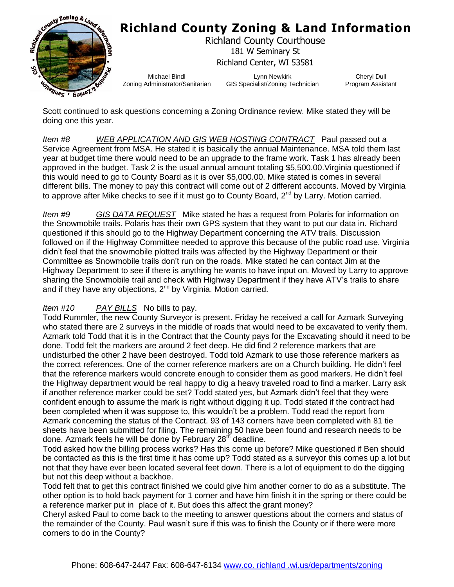

## **Richland County Zoning & Land Information**

Richland County Courthouse 181 W Seminary St Richland Center, WI 53581

Michael Bindl Zoning Administrator/Sanitarian

Lynn Newkirk GIS Specialist/Zoning Technician

Cheryl Dull Program Assistant

Scott continued to ask questions concerning a Zoning Ordinance review. Mike stated they will be doing one this year.

*Item #8 WEB APPLICATION AND GIS WEB HOSTING CONTRACT* Paul passed out a Service Agreement from MSA. He stated it is basically the annual Maintenance. MSA told them last year at budget time there would need to be an upgrade to the frame work. Task 1 has already been approved in the budget. Task 2 is the usual annual amount totaling \$5,500.00.Virginia questioned if this would need to go to County Board as it is over \$5,000.00. Mike stated is comes in several different bills. The money to pay this contract will come out of 2 different accounts. Moved by Virginia to approve after Mike checks to see if it must go to County Board,  $2^{nd}$  by Larry. Motion carried.

*Item #9 GIS DATA REQUEST* Mike stated he has a request from Polaris for information on the Snowmobile trails. Polaris has their own GPS system that they want to put our data in. Richard questioned if this should go to the Highway Department concerning the ATV trails. Discussion followed on if the Highway Committee needed to approve this because of the public road use. Virginia didn't feel that the snowmobile plotted trails was affected by the Highway Department or their Committee as Snowmobile trails don't run on the roads. Mike stated he can contact Jim at the Highway Department to see if there is anything he wants to have input on. Moved by Larry to approve sharing the Snowmobile trail and check with Highway Department if they have ATV's trails to share and if they have any objections, 2<sup>nd</sup> by Virginia. Motion carried.

#### *Item #10 PAY BILLS* No bills to pay.

Todd Rummler, the new County Surveyor is present. Friday he received a call for Azmark Surveying who stated there are 2 surveys in the middle of roads that would need to be excavated to verify them. Azmark told Todd that it is in the Contract that the County pays for the Excavating should it need to be done. Todd felt the markers are around 2 feet deep. He did find 2 reference markers that are undisturbed the other 2 have been destroyed. Todd told Azmark to use those reference markers as the correct references. One of the corner reference markers are on a Church building. He didn't feel that the reference markers would concrete enough to consider them as good markers. He didn't feel the Highway department would be real happy to dig a heavy traveled road to find a marker. Larry ask if another reference marker could be set? Todd stated yes, but Azmark didn't feel that they were confident enough to assume the mark is right without digging it up. Todd stated if the contract had been completed when it was suppose to, this wouldn't be a problem. Todd read the report from Azmark concerning the status of the Contract. 93 of 143 corners have been completed with 81 tie sheets have been submitted for filing. The remaining 50 have been found and research needs to be done. Azmark feels he will be done by February  $28<sup>th</sup>$  deadline.

Todd asked how the billing process works? Has this come up before? Mike questioned if Ben should be contacted as this is the first time it has come up? Todd stated as a surveyor this comes up a lot but not that they have ever been located several feet down. There is a lot of equipment to do the digging but not this deep without a backhoe.

Todd felt that to get this contract finished we could give him another corner to do as a substitute. The other option is to hold back payment for 1 corner and have him finish it in the spring or there could be a reference marker put in place of it. But does this affect the grant money?

Cheryl asked Paul to come back to the meeting to answer questions about the corners and status of the remainder of the County. Paul wasn't sure if this was to finish the County or if there were more corners to do in the County?